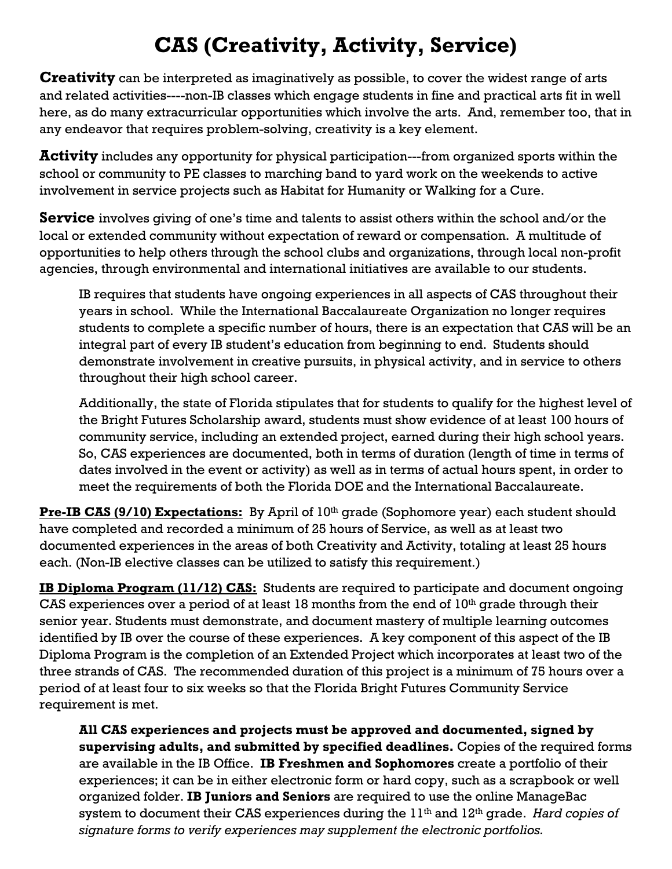## **CAS (Creativity, Activity, Service)**

**Creativity** can be interpreted as imaginatively as possible, to cover the widest range of arts and related activities----non-IB classes which engage students in fine and practical arts fit in well here, as do many extracurricular opportunities which involve the arts. And, remember too, that in any endeavor that requires problem-solving, creativity is a key element.

**Activity** includes any opportunity for physical participation---from organized sports within the school or community to PE classes to marching band to yard work on the weekends to active involvement in service projects such as Habitat for Humanity or Walking for a Cure.

**Service** involves giving of one's time and talents to assist others within the school and/or the local or extended community without expectation of reward or compensation. A multitude of opportunities to help others through the school clubs and organizations, through local non-profit agencies, through environmental and international initiatives are available to our students.

IB requires that students have ongoing experiences in all aspects of CAS throughout their years in school. While the International Baccalaureate Organization no longer requires students to complete a specific number of hours, there is an expectation that CAS will be an integral part of every IB student's education from beginning to end. Students should demonstrate involvement in creative pursuits, in physical activity, and in service to others throughout their high school career.

Additionally, the state of Florida stipulates that for students to qualify for the highest level of the Bright Futures Scholarship award, students must show evidence of at least 100 hours of community service, including an extended project, earned during their high school years. So, CAS experiences are documented, both in terms of duration (length of time in terms of dates involved in the event or activity) as well as in terms of actual hours spent, in order to meet the requirements of both the Florida DOE and the International Baccalaureate.

**Pre-IB CAS (9/10) Expectations:** By April of 10<sup>th</sup> grade (Sophomore year) each student should have completed and recorded a minimum of 25 hours of Service, as well as at least two documented experiences in the areas of both Creativity and Activity, totaling at least 25 hours each. (Non-IB elective classes can be utilized to satisfy this requirement.)

**IB Diploma Program (11/12) CAS:** Students are required to participate and document ongoing CAS experiences over a period of at least 18 months from the end of  $10<sup>th</sup>$  grade through their senior year. Students must demonstrate, and document mastery of multiple learning outcomes identified by IB over the course of these experiences. A key component of this aspect of the IB Diploma Program is the completion of an Extended Project which incorporates at least two of the three strands of CAS. The recommended duration of this project is a minimum of 75 hours over a period of at least four to six weeks so that the Florida Bright Futures Community Service requirement is met.

**All CAS experiences and projects must be approved and documented, signed by supervising adults, and submitted by specified deadlines.** Copies of the required forms are available in the IB Office. **IB Freshmen and Sophomores** create a portfolio of their experiences; it can be in either electronic form or hard copy, such as a scrapbook or well organized folder. **IB Juniors and Seniors** are required to use the online ManageBac system to document their CAS experiences during the 11th and 12th grade. *Hard copies of signature forms to verify experiences may supplement the electronic portfolios.*